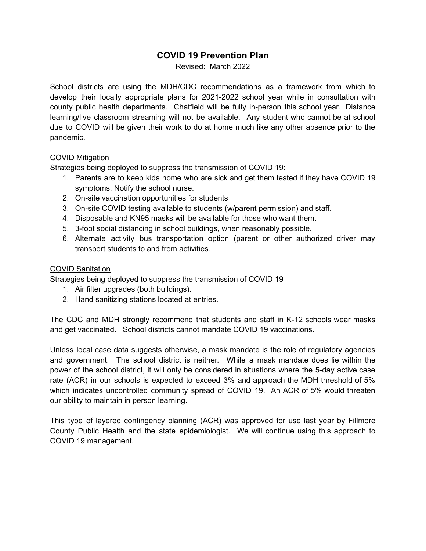## **COVID 19 Prevention Plan**

Revised: March 2022

School districts are using the MDH/CDC recommendations as a framework from which to develop their locally appropriate plans for 2021-2022 school year while in consultation with county public health departments. Chatfield will be fully in-person this school year. Distance learning/live classroom streaming will not be available. Any student who cannot be at school due to COVID will be given their work to do at home much like any other absence prior to the pandemic.

#### COVID Mitigation

Strategies being deployed to suppress the transmission of COVID 19:

- 1. Parents are to keep kids home who are sick and get them tested if they have COVID 19 symptoms. Notify the school nurse.
- 2. On-site vaccination opportunities for students
- 3. On-site COVID testing available to students (w/parent permission) and staff.
- 4. Disposable and KN95 masks will be available for those who want them.
- 5. 3-foot social distancing in school buildings, when reasonably possible.
- 6. Alternate activity bus transportation option (parent or other authorized driver may transport students to and from activities.

#### COVID Sanitation

Strategies being deployed to suppress the transmission of COVID 19

- 1. Air filter upgrades (both buildings).
- 2. Hand sanitizing stations located at entries.

The CDC and MDH strongly recommend that students and staff in K-12 schools wear masks and get vaccinated. School districts cannot mandate COVID 19 vaccinations.

Unless local case data suggests otherwise, a mask mandate is the role of regulatory agencies and government. The school district is neither. While a mask mandate does lie within the power of the school district, it will only be considered in situations where the 5-day active case rate (ACR) in our schools is expected to exceed 3% and approach the MDH threshold of 5% which indicates uncontrolled community spread of COVID 19. An ACR of 5% would threaten our ability to maintain in person learning.

This type of layered contingency planning (ACR) was approved for use last year by Fillmore County Public Health and the state epidemiologist. We will continue using this approach to COVID 19 management.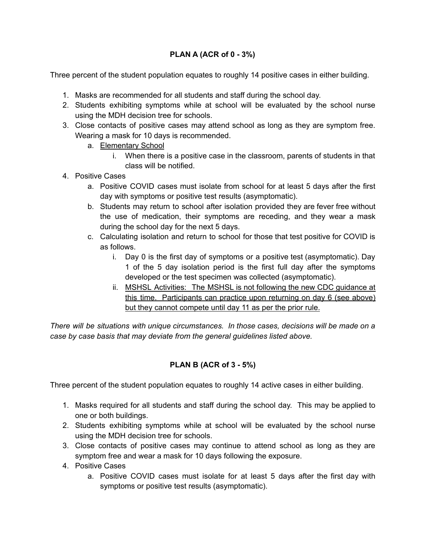### **PLAN A (ACR of 0 - 3%)**

Three percent of the student population equates to roughly 14 positive cases in either building.

- 1. Masks are recommended for all students and staff during the school day.
- 2. Students exhibiting symptoms while at school will be evaluated by the school nurse using the MDH decision tree for schools.
- 3. Close contacts of positive cases may attend school as long as they are symptom free. Wearing a mask for 10 days is recommended.
	- a. Elementary School
		- i. When there is a positive case in the classroom, parents of students in that class will be notified.
- 4. Positive Cases
	- a. Positive COVID cases must isolate from school for at least 5 days after the first day with symptoms or positive test results (asymptomatic).
	- b. Students may return to school after isolation provided they are fever free without the use of medication, their symptoms are receding, and they wear a mask during the school day for the next 5 days.
	- c. Calculating isolation and return to school for those that test positive for COVID is as follows.
		- i. Day 0 is the first day of symptoms or a positive test (asymptomatic). Day 1 of the 5 day isolation period is the first full day after the symptoms developed or the test specimen was collected (asymptomatic).
		- ii. MSHSL Activities: The MSHSL is not following the new CDC guidance at this time. Participants can practice upon returning on day 6 (see above) but they cannot compete until day 11 as per the prior rule.

*There will be situations with unique circumstances. In those cases, decisions will be made on a case by case basis that may deviate from the general guidelines listed above.*

# **PLAN B (ACR of 3 - 5%)**

Three percent of the student population equates to roughly 14 active cases in either building.

- 1. Masks required for all students and staff during the school day. This may be applied to one or both buildings.
- 2. Students exhibiting symptoms while at school will be evaluated by the school nurse using the MDH decision tree for schools.
- 3. Close contacts of positive cases may continue to attend school as long as they are symptom free and wear a mask for 10 days following the exposure.
- 4. Positive Cases
	- a. Positive COVID cases must isolate for at least 5 days after the first day with symptoms or positive test results (asymptomatic).